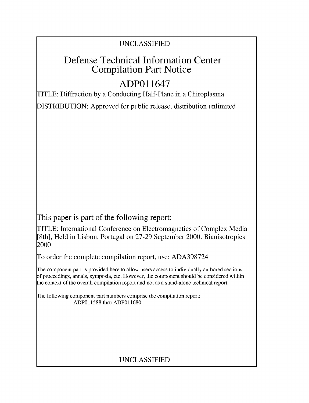### UNCLASSIFIED

# Defense Technical Information Center Compilation Part Notice

# **ADPO** 11647

TITLE: Diffraction by a Conducting Half-Plane in a Chiroplasma

DISTRIBUTION: Approved for public release, distribution unlimited

This paper is part of the following report:

TITLE: International Conference on Electromagnetics of Complex Media [8th], Held in Lisbon, Portugal on 27-29 September 2000. Bianisotropics 2000

To order the complete compilation report, use: ADA398724

The component part is provided here to allow users access to individually authored sections f proceedings, annals, symposia, etc. However, the component should be considered within [he context of the overall compilation report and not as a stand-alone technical report.

The following component part numbers comprise the compilation report: ADP011588 thru ADP011680

### UNCLASSIFIED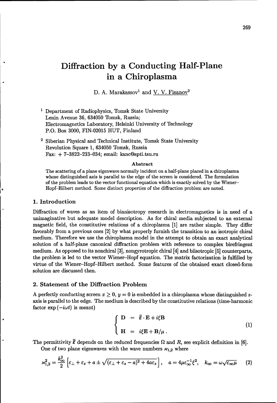# Diffraction **by** a Conducting Half-Plane in a Chiroplasma

D. A. Marakassov<sup>1</sup> and V. V. Fisanov<sup>2</sup>

- <sup>1</sup> Department of Radiophysics, Tomsk State University Lenin Avenue 36, 634050 Tomsk, Russia; Electromagnetics Laboratory, Helsinki University of Technology P.O. Box 3000, FIN-02015 HUT, Finland
- <sup>2</sup> Siberian Physical and Technical Institute, Tomsk State University Revolution Square 1, 634050 Tomsk, Russia Fax: + 7-3822-233-034; email: kanc@spti.tsu.ru

#### Abstract

The scattering of a plane eigenwave normally incident on a half-plane placed in a chiroplasma whose distinguished axis is parallel to the edge of the screen is considered. The formulation of the problem leads to the vector functional equation which is exactly solved by the Wiener-Hopf-Hilbert method. Some distinct properties of the diffraction problem are noted.

#### 1. Introduction

y

Diffraction of waves as an item of bianisotropy research in electromagnetics is in need of a unimaginative but adequate model description. As for chiral media subjected to an external magnetic field, the constitutive relations of a chiroplasma [1] are rather simple. They differ favorably from a previous ones [2] by what properly furnish the transition to an isotropic chiral medium. Therefore we use the chiroplasma model in the attempt to obtain an exact analytical solution of a half-plane canonical diffraction problem with reference to complex birefringent medium. As opposed to its nonchiral [3], nongyrotropic chiral [4] and biisotropic [5] counterparts, the problem is led to the vector Wiener-Hopf equation. The matrix factorization is fulfilled by virtue of the Wiener-Hopf-Hilbert method. Some features of the obtained exact closed-form solution are discussed then.

#### 2. Statement of the Diffraction Problem

A perfectly conducting screen  $x \geq 0$ ,  $y = 0$  is embedded in a chiroplasma whose distinguished zaxis is parallel to the edge. The medium is described by the constitutive relations (time-harmonic factor  $\exp(-i\omega t)$  is meant)

$$
\begin{cases}\n\mathbf{D} = \overline{\overline{\varepsilon}} \cdot \mathbf{E} + i \xi \mathbf{B} \\
\mathbf{H} = i \xi \mathbf{E} + \mathbf{B}/\mu \,.\n\end{cases} \tag{1}
$$

The permittivity  $\bar{\varepsilon}$  depends on the reduced frequencies  $\Omega$  and  $R$ , see explicit definition in [6].

One of two plane eigenwaves with the wave numbers  $x_{1,2}$  where

$$
\varkappa_{1,2}^2 = \frac{k_{\infty}^2}{2} \left[ \varepsilon_{\perp} + \varepsilon_z + a \pm \sqrt{(\varepsilon_{\perp} + \varepsilon_z - a)^2 + 4a\varepsilon_z} \right], \quad a = 4\mu\varepsilon_{\infty}^{-1}\xi^2, \quad k_{\infty} = \omega\sqrt{\varepsilon_{\infty}\mu} \tag{2}
$$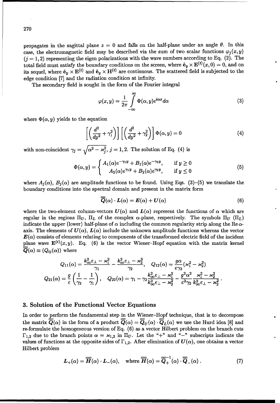propagates in the sagittal plane  $z = 0$  and falls on the half-plane under an angle  $\theta$ . In this case, the electromagnetic field may be described via the sum of two scalar functions  $\varphi_i(x, y)$  $(j = 1, 2)$  representing the eigen polarizations with the wave numbers according to Eq. (2). The total field must satisfy the boundary conditions on the screen, where  $\hat{\mathbf{e}}_y \times \mathbf{E}^{(t)}(x,0) = 0$ , and on its sequel, where  $\hat{\mathbf{e}}_y \times \mathbf{E}^{(t)}$  and  $\hat{\mathbf{e}}_y \times \mathbf{H}^{(t)}$  are continuous. The scattered field is subjected to the edge condition [7] and the radiation condition at infinity.

The secondary field is sought in the form of the Fourier integral

$$
\varphi(x,y) = \frac{1}{2\pi} \int_{-\infty}^{\infty} \Phi(\alpha, y) e^{i\alpha x} d\alpha \tag{3}
$$

where  $\Phi(\alpha, y)$  yields to the equation

$$
\left[ \left( \frac{d^2}{dy^2} + \gamma_1^2 \right) \right] \left[ \left( \frac{d^2}{dy^2} + \gamma_2^2 \right) \right] \Phi(\alpha, y) = 0 \tag{4}
$$

with non-coincident  $\gamma_j = \sqrt{\alpha^2 - \varkappa_j^2}$ ,  $j = 1, 2$ . The solution of Eq. (4) is

$$
\Phi(\alpha, y) = \begin{cases} A_1(\alpha)e^{-\gamma_1 y} + B_1(\alpha)e^{-\gamma_2 y}, & \text{if } y \ge 0\\ A_2(\alpha)e^{\gamma_1 y} + B_2(\alpha)e^{\gamma_2 y}, & \text{if } y \le 0 \end{cases}
$$
\n(5)

where  $A_i(\alpha)$ ,  $B_i(\alpha)$  are amplitude functions to be found. Using Eqs. (3)–(5) we translate the boundary conditions into the spectral domain and present in the matrix form

$$
\overline{\overline{\mathbf{Q}}}(\alpha) \cdot \mathbf{L}(\alpha) = \mathbf{E}(\alpha) + \mathbf{U}(\alpha) \tag{6}
$$

where the two-element column-vectors  $U(\alpha)$  and  $L(\alpha)$  represent the functions of  $\alpha$  which are regular in the regions  $\Pi_U$ ,  $\Pi_L$  of the complex  $\alpha$ -plane, respectively. The symbols  $\Pi_U$   $(\Pi_L)$ indicate the upper (lower) half-plane of  $\alpha$  including the common regularity strip along the Re $\alpha$ axis. The elements of  $U(\alpha)$ ,  $L(\alpha)$  include the unknown amplitude functions whereas the vector  $E(\alpha)$  consists of elements relating to components of the transformed electric field of the incident plane wave  $\mathbf{E}^{(i)}(x, y)$ . Eq. (6) is the vector Wiener-Hopf equation with the matrix kernel  $\overline{Q}(\alpha) \equiv (Q_{ij}(\alpha))$  where

$$
Q_{11}(\alpha)=\frac{k_{\infty}^2\varepsilon_{\perp}-\varkappa_1^2}{\gamma_1}-\frac{k_{\infty}^2\varepsilon_{\perp}-\varkappa_2^2}{\gamma_2},\quad Q_{12}(\alpha)=\frac{g\alpha}{\varepsilon\gamma_2}(\varkappa_1^2-\varkappa_2^2)\\ Q_{21}(\alpha)=\frac{g}{\varepsilon}\left(\frac{1}{\gamma_2}-\frac{1}{\gamma_1}\right),\quad Q_{22}(\alpha)=\gamma_1-\gamma_2\frac{k_{\infty}^2\varepsilon_{\perp}-\varkappa_1^2}{k_{\infty}^2\varepsilon_{\perp}-\varkappa_2^2}-\frac{g^2\alpha^2}{\varepsilon^2\gamma_2}\frac{\varkappa_1^2-\varkappa_2^2}{k_{\infty}^2\varepsilon_{\perp}-\varkappa_2^2}.
$$

#### **3.** Solution of the Functional Vector Equations

In order to perform the fundamental step in the Wiener-Hopf technique, that is to decompose the matrix  $\overline{Q}(\alpha)$  in the form of a product  $\overline{Q}(\alpha) = \overline{Q}_U(\alpha) \cdot \overline{Q}_L(\alpha)$  we use the Hurd idea [8] and re-formulate the homogeneous version of Eq. (6) as a vector Hilbert problem on the branch cuts  $\Gamma_{1,2}$  due to the branch points  $\alpha = \varkappa_{1,2}$  in  $\Pi_U$ . Let the "+" and "-" subscripts indicate the values of functions at the opposite sides of  $\Gamma_{1,2}$ . After elimination of  $U(\alpha)$ , one obtains a vector Hilbert problem

$$
L_{+}(\alpha) = \overline{\overline{H}}(\alpha) \cdot L_{-}(\alpha), \quad \text{where } \overline{\overline{H}}(\alpha) = \overline{\overline{Q}}_{+}^{-1}(\alpha) \cdot \overline{\overline{Q}}_{-}(\alpha).
$$
 (7)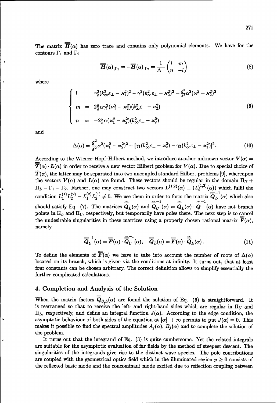$$
\overline{\overline{H}}(\alpha)_{|\Gamma_1} = -\overline{\overline{H}}(\alpha)_{|\Gamma_2} = \frac{1}{\Delta_+} \begin{pmatrix} l & m \\ n & -l \end{pmatrix}
$$
 (8)

where  
\n
$$
\begin{cases}\n l &= \gamma_2^2 (k_{\infty}^2 \varepsilon_{\perp} - x_1^2)^2 - \gamma_1^2 (k_{\infty}^2 \varepsilon_{\perp} - x_2^2)^2 - \frac{g^2}{\varepsilon^2} \alpha^2 (x_1^2 - x_2^2)^2 \\
 m &= 2 \frac{g}{\varepsilon} \alpha \gamma_1^2 (x_1^2 - x_2^2) (k_{\infty}^2 \varepsilon_{\perp} - x_2^2) \\
 n &= -2 \frac{g}{\varepsilon} \alpha (x_1^2 - x_2^2) (k_{\infty}^2 \varepsilon_{\perp} - x_2^2)\n\end{cases}\n\tag{9}
$$

and

$$
\Delta(\alpha) = \frac{g^2}{\varepsilon^2} \alpha^2 (\varkappa_1^2 - \varkappa_2^2)^2 - [\gamma_1 (k_{\infty}^2 \varepsilon_{\perp} - \varkappa_2^2) - \gamma_2 (k_{\infty}^2 \varepsilon_{\perp} - \varkappa_1^2)]^2. \tag{10}
$$

According to the Wiener-Hopf-Hilbert method, we introduce another unknown vector  $V(\alpha)$  =  $\overline{T}(\alpha) \cdot L(\alpha)$  in order to receive a new vector Hilbert problem for  $V(\alpha)$ . Due to special choice of  $\overline{T}(\alpha)$ , the latter may be separated into two uncoupled standard Hilbert problems [9], whereupon the vectors  $V(\alpha)$  and  $L(\alpha)$  are found. These vectors should be regular in the domain  $\Pi_U$  +  $\Pi_L - \Gamma_1 - \Gamma_2$ . Farther, one may construct two vectors  $L^{(1)}$  $\Pi_L - \Gamma_1 - \Gamma_2$ . Farther, one may construct two vectors  $L^{(1,2)}(\alpha) \equiv (L_i^{(1,2)}(\alpha))$  which fulfil the condition  $L^{(1)}L^{(2)} - L^{(2)}L^{(1)}$  (a)  $\pi$   $\mathbb{R}$   $^{-1}$  (c)  $\pi$  is halo. **1 2-1 - -1** should satisfy Eq. (7). The matrices  $\overline{Q}_L(\alpha)$  and  $\overline{Q}_{U}(\alpha) = \overline{Q}_L(\alpha) \cdot \overline{Q}$  (a) have not branch points in  $\Pi_L$  and  $\Pi_U$ , respectively, but temporarily have poles there. The next step is to cancel the undesirable singularities in these matrices using a properly chosen rational matrix  $\overline{F}(\alpha)$ , namely

$$
\overline{\overline{Q}}_U^{-1}(\alpha) = \overline{\overline{F}}(\alpha) \cdot \overline{\overline{\overline{Q}}}_U^{-1}(\alpha), \quad \overline{\overline{Q}}_L(\alpha) = \overline{\overline{F}}(\alpha) \cdot \overline{\overline{\overline{Q}}}_L(\alpha).
$$
 (11)

To define the elements of  $\overline{F}(\alpha)$  we have to take into account the number of roots of  $\Delta(\alpha)$ located on its branch, which is given via the conditions at infinity. It turns out, that at least four constants can be chosen arbitrary. The correct definition allows to simplify essentially the further complicated calculations.

#### 4. Completion and Analysis of the Solution

When the matrix factors  $\overline{Q}_{U,L}(\alpha)$  are found the solution of Eq. (6) is straightforward. It is rearranged so that to receive the left- and right-hand sides which are regular in  $\Pi_U$  and  $\Pi_L$ , respectively, and define an integral function  $J(\alpha)$ . According to the edge condition, the asymptotic behaviour of both sides of the equation at  $|\alpha| \to \infty$  permits to put  $J(\alpha) = 0$ . This makes it possible to find the spectral amplitudes  $A_j(\alpha)$ ,  $B_j(\alpha)$  and to complete the solution of the problem.

It turns out that the integrand of Eq. (3) is quite cumbersome. Yet the related integrals are suitable for the asymptotic evaluation of far fields by the method of steepest descent. The singularities of the integrands give rise to the distinct wave species. The pole contributions are coupled with the geometrical optics field which in the illuminated region  $y \geq 0$  consists of the reflected basic mode and the concominant mode excited due to reflection coupling between